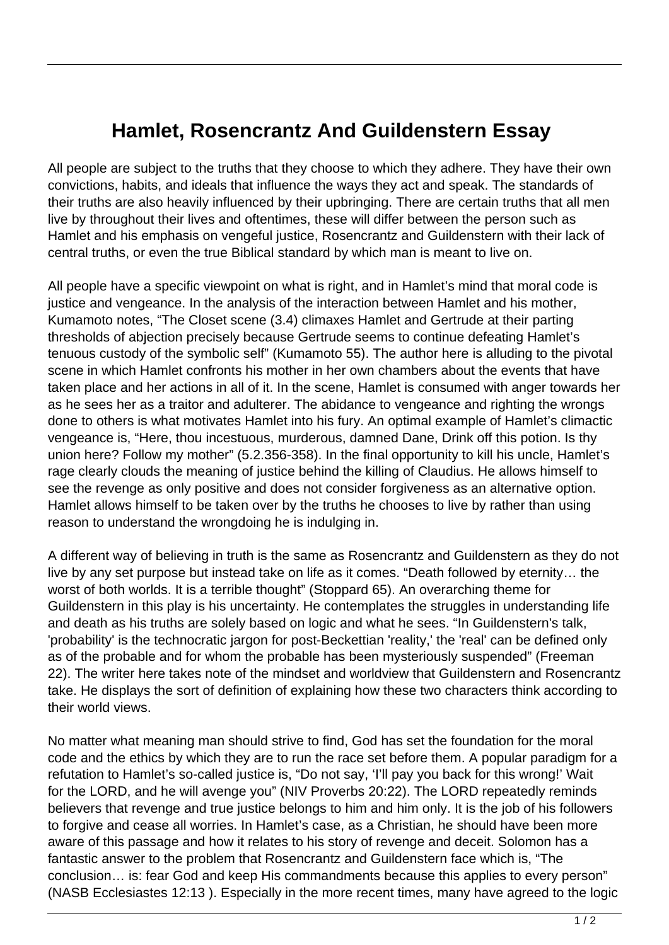## **Hamlet, Rosencrantz And Guildenstern Essay**

All people are subject to the truths that they choose to which they adhere. They have their own convictions, habits, and ideals that influence the ways they act and speak. The standards of their truths are also heavily influenced by their upbringing. There are certain truths that all men live by throughout their lives and oftentimes, these will differ between the person such as Hamlet and his emphasis on vengeful justice, Rosencrantz and Guildenstern with their lack of central truths, or even the true Biblical standard by which man is meant to live on.

All people have a specific viewpoint on what is right, and in Hamlet's mind that moral code is justice and vengeance. In the analysis of the interaction between Hamlet and his mother, Kumamoto notes, "The Closet scene (3.4) climaxes Hamlet and Gertrude at their parting thresholds of abjection precisely because Gertrude seems to continue defeating Hamlet's tenuous custody of the symbolic self" (Kumamoto 55). The author here is alluding to the pivotal scene in which Hamlet confronts his mother in her own chambers about the events that have taken place and her actions in all of it. In the scene, Hamlet is consumed with anger towards her as he sees her as a traitor and adulterer. The abidance to vengeance and righting the wrongs done to others is what motivates Hamlet into his fury. An optimal example of Hamlet's climactic vengeance is, "Here, thou incestuous, murderous, damned Dane, Drink off this potion. Is thy union here? Follow my mother" (5.2.356-358). In the final opportunity to kill his uncle, Hamlet's rage clearly clouds the meaning of justice behind the killing of Claudius. He allows himself to see the revenge as only positive and does not consider forgiveness as an alternative option. Hamlet allows himself to be taken over by the truths he chooses to live by rather than using reason to understand the wrongdoing he is indulging in.

A different way of believing in truth is the same as Rosencrantz and Guildenstern as they do not live by any set purpose but instead take on life as it comes. "Death followed by eternity… the worst of both worlds. It is a terrible thought" (Stoppard 65). An overarching theme for Guildenstern in this play is his uncertainty. He contemplates the struggles in understanding life and death as his truths are solely based on logic and what he sees. "In Guildenstern's talk, 'probability' is the technocratic jargon for post-Beckettian 'reality,' the 'real' can be defined only as of the probable and for whom the probable has been mysteriously suspended" (Freeman 22). The writer here takes note of the mindset and worldview that Guildenstern and Rosencrantz take. He displays the sort of definition of explaining how these two characters think according to their world views.

No matter what meaning man should strive to find, God has set the foundation for the moral code and the ethics by which they are to run the race set before them. A popular paradigm for a refutation to Hamlet's so-called justice is, "Do not say, 'I'll pay you back for this wrong!' Wait for the LORD, and he will avenge you" (NIV Proverbs 20:22). The LORD repeatedly reminds believers that revenge and true justice belongs to him and him only. It is the job of his followers to forgive and cease all worries. In Hamlet's case, as a Christian, he should have been more aware of this passage and how it relates to his story of revenge and deceit. Solomon has a fantastic answer to the problem that Rosencrantz and Guildenstern face which is, "The conclusion… is: fear God and keep His commandments because this applies to every person" (NASB Ecclesiastes 12:13 ). Especially in the more recent times, many have agreed to the logic